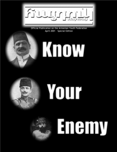

Official Publication on the Armenian Youth Federation April 2001 Special Edition





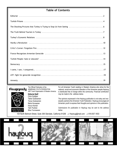#### **Table of Contents**

#### հայրուկ

aurustr **NU3RUP**  **Editorial Staff** The Official Publication of the ARMENIAN YOUTH FEDERATION ARF Youth Organization of Western America

Chris Guldjian Taline Gulesserian Tanya Gulesserian Maria Hovsepian Houry Kizirian Talin Pushian Silva Tovmassian

For all Armenian Youth residing in Western America who strive for the national, social and economic liberation of the Armenian people.Haytoug is distributed free of charge within the community. Financial contribution may be made to the address below.

The opinions expressed in the Haytoug publication is not soley and necessarily opinions the Armenian Youth Federation. Haytoug encourages all Armenian youth to express their thoughts and opinions in this publication.

*Submissions for publication in Haytoug may be sent to the address below.*

104 North Belmont Street, Suite 306 Glendale, California 91206  $\ll$  Haytoug@mail.com  $\ll$  818.507.1933

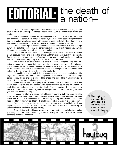# **EDITORIAL:** the death of

What is life without a purpose? Existence and social attachment is why we continue to strive for anything. Existence-what an idea. Survival, continuation, being, and reality.

The fundamental rationale for anything we do is to continue life in the best condition possible. To continue life though is not always easy for some people-simply because there is a metaphysical association with a group of people or belief. Stop! I am trying to say something very plain: it is not fair to have someone force your extinction.

People have a right to live and the harshest of all punishments is to take that right away. The debatable issues that are controversial suddenly do not matter if you have no life-death is it-especially when it happens to a nation.

What if your life was threatened? Would you be freighted or scared? Probably. Death because you belong to a certain group-and there is no way out of this disgraceful form of casualty. How does it feel to face true death-everyone you know is dieing and you are next. Death is not only scary, it is unknown and unpredictable.

The murder of an entire nation is a difficult concept to imagine. The death of a nation is evident when young virgins commit suicide to avoid being raped. Death is practical when homes are razed and mothers are slaughtered. The end is clear when marches are endless. The death of a nation is at a brink when young men are beaten and killed in front of their children. Death: the loss of a single life.

Geno-cide: the systematic killing of a generation of people (human beings). The organized death and maximum punishment possible is a very sad notion-too sad to anger some people. Herds of people rounded like sheep and burned like mad cows with diseases. The greatest method of death-genocide.

Murderers are free. Dead people are restricted. Life is not fair-if you have one. Death seems like the end for a person and a genocide would be the end for a nation. A really big system of death is genocide-the death of an entire nation. It hurts so much to feel abandoned however death might be worse-it just seems unfair. I am living here and you take that-it is not fair-stop it.

It seems right to live in peace with all types in harmony, but they could not allow life to go on. For some reason they punished us with death. They punished our entire nation with it. Is it fair? Why would you kill my family and my identification? What if that happened to you-how would it feel? Probably sad, probably anger-it is not fair, right?

Death: the loss of a single life. Genocide: the death of a physical being and more importantly an identity lost forever. I'd rather be killed by you, than drowned by an unknown identity-which you caused anyway.

Oh yeah, thanks for killing us and destroying our existence-you helped our nation, you really did. You'll see. I am trying to say something very plain: it is not fair to have someone force your extinction.

" **I am trying to say something very plain: it is not fair to have someone force your extinction.**

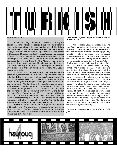Maria Hovsepian

For years and through many texts, from history to literature, they have been called heedens. Their acts of headenism, of cruel crimes and gross human rights violations, are not new to the many Armenians who fell victim to these demonic creatures. But back then no one seemed to really care. Even today, nearly eighty-six years later, there are still many people who refuse to accept the brutal and heinous acts of Genocide, committed by this new, "European" and "democratic" Turkey. They simply ignored all the crimes, asking why should the rest of the world recognize this Genocide. Today, Turkey has thus far escaped from the consequences of their crime against humanity. Why? Why punish Turkey for a crime they committed over eighty-six years ago? Simply because even today these heedens continue committing these acts of gross and widespread human violations. Why? Because for eighty-six years no one has stopped them. Why? Because today no one stops them.

In 1978, the Oliver Stone movie "Midnight Express" brought to the silver screen of Hollywood and to the lives of millions of people around the world, the truths about Turkey, that many Armenians have known for several decades. The world watched with awe, as Billy Hayes' true-life sorbid imprisonment and daring escape was brutally and vividly brought to life through the scenes and lines of this controversial movie. After the release of this movie, the world's human rights activists protested, researched, studied, and eventually declared Turkey as the world's leading human rights violator. In a 1997 interview, with USA Today, Hayes said, "The movie was a big deal. The Turkish government was angry at the characterization of Turks. There was not a good Turk in it. It hurt their tourist industry. I hurt them." The truth of these depictions and characterizations of Turks and Turkish prisons has been argued and debated. Hayes himself (I am sure for personal reasons) said that the movie was unfair to most of the Turks within the prison and that it was an unfair depiction of the Turkish guards and prisons.

The following are three real life stories of people who were imprisoned and tortured in Turkey. After reading these true life accounts, you the reader, can judge for yourself if in fact Turkey and the Turkish people can be considered humane and civil people. Are they not the headens and brutes that you have known them to be for many years?

**Father Manuel Yergatian, a 33-year old priest was arrested in Turkey in 1980.**

"They opened my luggage and asked me to leave the room. When I was brought back, they pointed to certain maps, books and documents, and asked about them. I explained that those maps and documents had not been in my luggage. They insisted they were found in my suitcase. That's when I realized something was going on. … The state prosecutor charged me with turning the Jerusalem Seminary students into terrorists. I was also accused of naming my dogs (in Jerusalem) Ataturk…. My whole arrest was a set-up because they wanted to find a victim…. My prison life was more horrible than the beatings during the initial interrogation period…. They didn't allow you to go to the toilet, they delayed brining your daily food, they wouldn't take you to a doctor; they wouldn't even give you medicine if you're sick…The beatings were so frequent that one day, to my amazement, all my cellmates-all 80 of them- formed a human shield around me to protect me. They told the guards 'you have to crush us to get to this man,' that enough is enough. I'll never forget that incident. It was a miracle of God that on that day I was not beaten… When I was freed from prison, there was no teeth left in my mouth - because of the beatings. My heartbeat had increased and several arteries were contracted. In fact, years later when I had heart surgery in Holland, the doctors told me that I had already had two heart attacks caused by the tortures. They said it's possible not to realize that one is having a heart attack. The left side of my heart was dead and, miraculously, I lived in prison for six years with only half of my heart functioning."

*AIM: Armenian International Magazine 02-28-2000 V.11; N.2 p.50* 

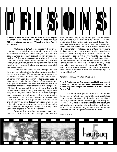**Madhi Zana, a Kurdish activist, who has spent more than 15 years in Turkish prisons. The following is about his arrest from 1980- 1991and is adapted from his book "Prison No. 5: Eleven Years in Turkish Jails."** 

"On September 12, 1980, on the pretext of restoring law and order, the army provoked another coup, with the usual brutality. Parliament was dissolved, and partie's, unions, and associations were banned. Municipal councils were dissolved, and mayors were replaced by officers. Following a plan drawn up well in advance, the army and police began arresting people: ministers, legislators, party and union leaders, mayors, professors, activists, and legal and illegal organizations, journalists-in short, everyone they found undesirable or contrary to their ideal Kemalist republic."

"That is when I was arrested and the torture began. Three other Kurds and I were taken straight to the Military Academy, which had 40 tiny cells in the basement…. After two hours, the guards came to get me. They blindfolded me and shoved me ahead of them. I heard soldiers whispering, "That's Medhi Zana coming." Right away about a dozen of them beat me up…. After that, they left me alone for two days, then started up again, with variations so that I would never know what awaited me. They started with falaka, a very old torture that involves beating the soles of the feet with a rod. Another trick was feigned hanging. They would life me up and slip the noose around my neck, so I thought they were executing me. But they would stop the execution and begin interrogating me again. Sometimes they would put us in coffins with just a crack to breathe through for two or three days, depending on how resistant each of us was. And then there was the "goose dance": naked under a shower of cold water, we had to hop ahead with our feet bound, hunched down under a rain of blows, until we fainted. Our feet were split open, and our testicles were numb. But they were not trying to kill us. No they stepped up the torture degrees to see how much we could take."

"After a month of this routine, I was separated from my companions and put into an isolation cell for 10 days. Then I was taken before the state's attorney and imprisonment again. When he reviewed my file, the judge could find no reason for my detention…. I was transferred to prison No. 5,… the jailers carried out a carefully thought-out program of psychological torture. They would bring five pieces of bread one, then four, then three, and then none at all-to make the prisoners in the cell fight one another…. I had been in prison for 18 months, when, one day, I was taken to court. I asked to go to the toilet. I wanted to see myself in the mirror. I was surprised at the change. It was me, but it wasn't me anymore. I looked at my face. I was thin, and the four teeth they had broken made me look strange. My skin was pockmarked with vermin. Then there were things that were not visible but that I could feel: my breathing, my back, and perhaps worst of all, the loss of memory…. I was is prison for 10 years and eight months, beginning in 1980…. I had to hold on, to set an example, whatever torture I sufferer and despite all I sufferer because of the torture inflicts on those who were younger. But they did not break me."

#### *World Press Review Jul 1995, Vol. 4; Issue 7, p.13*

**Fatma D. Polattas and N.C.S., a sixteen-year-old girl, were arrested in March 1999. The two girls were sentenced to long prison terms because they were charged with membership of the Kurdistan Worker's Party.** 

"In detention the two-girls were blindfolded, prevented from sleeping, going to the toilet, denied water and food, and forced to listed to loud music and drink spoiled milk. The police made them strip and stay naked, and told them to stand in exhausting positions for long periods of time. N.C.S. was exposed to verbal and sexual harassment, and continually beaten on her genitals, buttocks, breast, head, back and legs. Forced to sit on a wet floor for a long time and roll naked in water, suspended from the arms and exposed t pressurized cold water.

*Continued on page 5.*

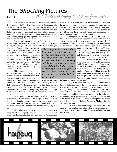### The *Shocking* Pictures that Turkey is trying to stop us from seeing

#### Robert Fisk

Not content with denying the truth of the Armenian Holocaust of 1915, Turkish officials are now trying to undermine the veracity of the photographic evidence of the genocide that killed a million and a half Armenians during the First World War. Following a letter of complaint from the Turkish embassy in London this week, the Hulton Getty picture library has withdrawn three famous photographs of slaughtered Armenians from its website, preventing their use by the media.

One of the pictures - a now-famous image of an Armenian girl and two small children lying dead amid garbage at the height of the genocide - was taken by the German photogra-

pher Armin Wegner and has been regularly distributed by Hulton to newspapers for many years. But a letter from a Turkish embassy official in London - who signed his name only as "Korkmazhaktanir" objected to the picture's caption, which stated that the dead were victims of the Turkish massacres. The dead, according to the Turkish official, had obviously only "starved" to death.

This extraordinary argument which would presuppose that Jews starved to death by the Nazis in the Second World War could not be counted victims of the

Jewish Holocaust - did not impress Hulton's general manager, Mathew Butson. "This picture was used recently by both The Independent and The Times and the key word the Turks objected to in our caption was 'massacred'," he says. "We always routinely examine such complaints and temporarily withdrew these images from our files. But we believe the information in our caption is correct.

"The argument that these Armenians weren't 'massacred' just because they were starved is not acceptable. The Turkish letter went on about how starving can't be part of a massacre, blah, blah, blah. I think that because of their application to join the EU, the Turks want to 'clean' their history - but this isn't the way to do it."

The Turkish government has been mounting an increasingly expensive lobbying campaign to deny the fact of the Armenian Holocaust, funding academic chairs at American universities - in which professors invariably questioned the details of the genocide - and threatening economic boycotts against European countries that acknowledge the Armenian massacres. When President Jacques Chirac last month publicly accepted the genocide as fact, Turkey cancelled arms and construction contracts with France worth millions of pounds.

Claiming that the Armenians died in "civil unrest" and that the Armenian population supported Turkey's First World War enemies, the present Turkish government has consistently denied eyewitness evidence at the time - including that of US diplomats and missionaries - that the genocide was organised and carried out

> on the specific orders of Ottoman Turkey's rulers. Planning his extermination of European Jewry in the 20th century's second Holocaust, Hitler asked his generals: "Who now remembers the Armenians?"

> Turkey's embassies abroad have seized every opportunity to prove Hitler's question valid. The mass execution by firing squads of tens of thousands of Armenian men and the starvation, rape and killing of equal numbers of women and children during the mass deportations to the deserts in 1915 have no place in Turkish history books. And, so far as the Turks are concerned, no

place in anyone else's history books.

During its research, however, Hulton concluded that it did not hold the copyright to the three photographs taken - at great personal risk - by Wegner in 1915 and 1916. Mr Butson now says that they belong to an Armenian historical archive in Germany, a fact confirmed by Tessa Hofmann of the Centre for Documantation and Information on Armenia in Berlin - who says that all three photographs were taken by Wegner and show victims of the Armenian genocide. "The rights to these photos are owned by the Schiller Literary National Archive in Marbach, here in Germany," she says.

"They hold items from the Wegner estate and gave us the rights to copies of photographs that relate to the Armenian genocide, courtesy of Wegner's second wife, who is still alive and now lives in Israel."

*Continued on Page 11.*



*"The argument that these Armenians weren't 'massacred' just because they were starved is not acceptable. The Turkish letter went on about how starving can't be part of a massacre, blah, blah, blah. I think that because of their application to join the EU, the Turks want to 'clean' their history - but this isn't the way to do it."*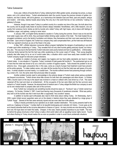#### Taline Gulesserian

Every year, millions of tourists flock to Turkey, believing that it offers golden sands, amazingly low prices, a unique nature, and a rich cultural history. Turkish advertisements claim the country houses the precious remains of golden civilizations, and that it stands, with all its glamour, as a harmonious link between East and West, past and present, antique and modern. Until today, Istanbul boasts about being "the only city in the world that lies on two continents," making it a gateway to Europe.

However, though it may seem Turkey is a perfect country for a vacation any time of the year, the truth about how the country and its people really treats its tourists remains deeply imbedded. Nonetheless, with a little research, one can quickly find numerous horror stories as told by tourists who visited Turkey with high hopes, only to leave with feelings of humiliation, anger, and sadness, vowing to never return.

In January 1997, an English family decided to vacation in Turkey during the summer. Since it was so hot and the local water supply was unfit to drink, they purchased bottled drinking water outside of the hotel. The hotel treated this as smuggled contraband, and to the family's humiliation and distress, they themselves and their room were searched for bottled water. Upon arrival in England, the Turkish tour company they used compensated them, yet the hotel was still featured in the tour operator's brochure as one of the finest in the area.

In May 1997, a British television (consumer affairs) program highlighted the dangers of participating in any kind of water sport while vacationing in Turkey. They revealed that not only were tourists getting seriously injured, but instructors, also. This was due to the fact that the Turkish instructors were poorly trained and had no qualifications. Unfortunately, a German family learned this fact the hard way while vacationing on the Lycian coast of Turkey. Their young daughter instantly died after being hit by an out of control water bike, a situation which could have easily been avoided had the Turkish company taught its instructors proper directions.

In addition to violation of privacy and neglect, low hygiene and low food safety standards are found in many Turkish hotels. In one situation in Turgutreis, Turkey, hundreds of hotel guests fell horribly ill. The predicament got so out of hand that the hotel was forced to fly out a chef and a number of hygiene experts. Tests showed the problem to be an airborne virus. Once again, precautions that, in this case, come as a result of proper food treatment could have prevented the entire episode. To make matters worse, only later did the tourists find out that the hotel was well aware of its problems. A similar situation occurred nearby, in a coastal town. The tourists suffered severe food poisoning through contracting a strain of E. Coli, the same strain that previously killed 22 people.

Another problem tourists need to acknowledge is the extreme danger of Turkish roads where serious accidents are frequent occurrences. Turkish drivers show little concern for both their own passengers and other drivers. In October 1998, a tourist coach on the way to the airport was involved in a head on collision with a taxi driven by a Turk. The coach careened off the road and down an embankment. All the occupants of the taxi were killed and the few survivors were rushed to a Turkish hospital. However, the abysmal level of medical care in Turkey obliged the British tour company to send out its own medical team to properly take care of the survivors.

Even Turkish tour companies are something tourists should be weary of. "Suntours" was a Turkish owned tour company. On Sunday, October 5, 1997, it went bust leaving many thousands of vacationers stranded. What was particularly odd to all the tourists was that it went bust after a supposedly "very lucrative" season.

In addition to tourists sport enthusiasts also need to think twice about visiting Turkey. On Wednesday, April 5, 2000, Leeds United soccer supporters were out on the streets in Istanbul where they were attacked by a large group of Turkish "thugs." Several of the fans were seriously injured and two even died from knife attacks.

Turkey is heavily promoted by tour operators as an idyllic vacation destination. The country presents itself to the world as a "gateway to Europe." It prides itself on its beautiful landscaping and culturally rich history. It even goes as far as to heavily advertise itself as the cut-price alternative to Greece or Cyprus. As many tourists are now discovering, at their own cost, the hype does not match the reality. Cheaper, in this case, means possibly hazardous to your health. The reality behind the glossy brochures is that Turkey is really a third world nation with an appalling human rights record. Tourist and others flocking to Turkey should realize this as soon as possible in order to avoid future problematic situations.

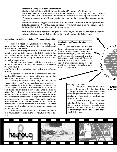#### **Joint Venture Activity and Investments in Education**

Intensive unification efforts are evident in the education sectors of Turkey and the Turkish republics:

· Since 1992, Turkey has furnished financial aid to enable 10,000 students from Turkish republics to study in universities in Turkey. About 2000 Turkish students have attended the universities of the Turkish republics (between 1992-979. · An exchange program of some 1,000 faculty members from Turkey and the Turkish republics has been in operation 81991\*979.

· With the contribution of Turkey joint universities have been established in Turkish republics. Private organizations from Turkey have established 140 secondary educational institutions in the Turkish republics and these institutions are also functioning. These activities are being expanded in a successful manner.

The fruits of such intensive cooperation in the sphere of eductions may be gathered in the form of political, economic, social and political closeness with Turkey and the creation of an infrastructure in the Turkish republics.

#### **Cooperation and Activities in the Sphere of Communications and the Press**

In this field, the past 4 to 5 years have yielded meaningful cooperation and close ties between Turkish state and private organisations and institutions of the Turkish republics.

Both the private and public sector of Turkey have provided full support to telecommunication system of the Turkish republics in the region, so that in some countries the entire infrastructure has been completed. This has meant that the majority of communication links to the out side world is through Turkey.

Integration has been accomplished in the television systems, and certain Turkish television channels can be viewed on local stations in the Turkish republics.

Some Turkish daily newspapers have begun publishing in the Turkish republics.

Cooperation and unification efforts communication and press have brought Turkey and the new Turkish republics closer together in the areas of politics, the economy, culture and language.

According to available statistics, though the share held by Turkish republics in Turkey's overall foreign trade volume is small, importance is yet given due to the fact that it represents a development from "scratch". It would be an error to evaluate the situation on the basis of trade statistics. The "grass roots" economic, social, cultural developments between Turkey and these countries assume great importance in terms of demonstrating the depth of these relations. Because the motivation behind these relations appears to have arisen to a high level spontaneously and as a microdynamics, the relations between Turkey and the new Turkish republics indicate both that 1) they are long term and that 2) a very sound socioeconomic and cultural infrastructure is in existence. They further demonstrate that relations between them can be developed independent of government policies.

Nonetheless, we should also note that all Turkish governments since 1990 have attached special emphasis to the cultivation of these relations.

#### **Construction and Tourism Investments and Activities**

Turkish construction companies and tourism (hotel management) firms have entered on building activities in various Turkish republics. Besides contracting jobs, Turkish hotel management firms have either been operating existing facilities or are building new hotels. These activities have acted as a positive influence in the case of foreign (incoming) tourism in Turkish republics and are in the process of eliminating infrastructural deficiencies.

#### **Financing and Subsidies**

Turkey furnished credits to the Turkish republics in the amount of 1.1 billion dollars in the 1991-96 period. These credits were devoted to the areas of foreign trade and industrial investment. A significant portion of these credits were supplies through the Turkish Exim Bank.

In addition to subsidies, Turkey also made contributions to the Turkish republics in the banking sphere, such as the establishment of central banks and assistance to commercial banks. In addition some Turkish state and private banks opened branch offices in the Turkish republics.

#### **Erol M**  $Contentnued$

**Star in 1991 Turkey intensive cod** 

try, banking **tion and t** 

**Caucuses Turkish republic** of politics, econ **education. Their** ons were con reas of trade,

All naisq

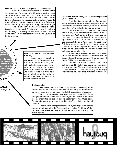#### **Activities and Cooperation in the Sphere of Communications**

Since 1991, a very rapid development has occurred, particularly in air corridors. Turkey and the Turkish republics have jointly organised regular flights. Moreover, Turkey has furnished technical and financial aid for the development of airports in the Turkish republics. Overland transport with sea links has assumed importance, and a great rise in the amount of activity has been observed in the ports of Trabzon and Samsun. Work to expand the capacities of their port facilities has begun.

Plans are in the works to extend the now-completed Adana-Gaziantep highway eastward. When this route reaches the frontiers of Iran and Georgia, it win greatly enliven economic activities of the area. By this channel, SAP will also secure the inclusion of the Caucuses and Iran in its network.

**arting** rkey be**g peration** and **s** in the spher **omy, culture and** economic rela **ncentrated in the** finance, indus **ng, transportad tourism.**

 $\epsilon_{\perp}$ 

**Fe Rel** 

ھ

**Mansali** *d on page 16.*

 $\frac{1}{2}$  aure C

#### **Industrial Activities and Joint Ventures in Industry**

A great number of Turkish firms have invested in the Turkish republics in the sectors of manufacturing industry, foodstuffs, textiles, leather, chemicals, machinery manufacture, electrical and electronic goods, communications and transportation. One portion of these investments have been completed and another portion is ongoing. Investments by Turkish firms totalled 6 billion dollars in 1996.

#### **Trading activities**

Turkish foreign trading firms initiated activity in these countries Activity was not restricted merely to the prospect of bilateral trade between Turkey and these countries, but also to the marketing of the products of the Turkish republics in the outside world.

Prior to 1990, trade relations were nonexistent, but by years 1995-1196, the average had risen to the 2 billion level. In the early years, the existence of communications and infrastructure problems held back the speed of development of trade relation. Once the infrastructure problems are resolved the rate of growth in trade relations will accelerate.

Numerous Turkish trading companies are actively operating in both foreign and domestic marketing domain in the Turkish republics. In addition, Turkish and Western companies have established partnership companies that are now operating in the Turkish republics.



#### **Cooperation Between Turkey and the Turkish Republics for Oil and Natural Gas**

Azerbaijan, the environs of the Caspian sea Kazakistan and Turkmenistan all possess vast petroleum and natural gas beds. Over the next ten years, this region will represent one of the world's principle oil and natural gas centers.

The issue of transport of this production overland through Turkey to the Mediterranean and Europe has been in negotiation since 1993. Certain preliminary agreements have been made in this connection. Feasibility studies are underway regarding the transport of the petroleum of Azerbaijan and the Caspian region to the bay of Ýskenderun in the Mediterranean. Preliminary agreements have been drawn up concerning the pipeline to carry the natural gas of Turkmenistan across Iran to Turkey and the Mediterranean. An agreement between Turkey and Iran we was signed in 1996.

According to the agreement made with Turkemenistan, 2 billion cubic metres of natural gas will be obtained in 1998. This volume will gradually be augmented and will reach an annual volume of 15 billion cubic metres by the year 2010.

The export to Turkey and the Mediterranean of the oil and natural gas of the Turkish republics and Iran bear enormous strategical importance. This structuralization carries a critical significance with respect to closer understanding and the bringing together of Asia and Europe and of Asia and the Mediterranean.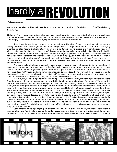## hardly a REVOLUTION

#### Taline Gulesserian

We have lost once before. Now we'll settle the score, when our cannons will roar…Revolution! Lyrics from "Revolution" by Chris De Burgh

**Disclaimer:** What I am going to express in the following paragraphs is solely my opinion…I do not want to directly offend anyone, especially since I have many acquaintances in the organizing party I refer to subsequently. Haytoug magazine is a forum for the Armenian youth, and since I belong in that category, I will use this medium to present my arguments and views to my peers, as well as others.

There it was, in black lettering, written on a compact and simple blue piece of paper…one small word with an enormous meaning…Revolution! When I saw this, I jumped up off my seat. I thought, "Excellent. Today's youth is going to make some noise! We are going to stand up and tell skeptics and other heathens that we are not going to take it anymore and we are going to go through all possible means to get what we want and more importantly, what is long overdue!" However, and unfortunately, my hopes shattered when I turned to the back of the little piece of paper. I read the words in disbelief. The postcard size paper, which originally represented so much potential for marking a revolution, was nothing more than an advertisement for a dance held on April 4, 2001. Words like hip-hop, upscale attire, and full bar came into my view. "Wait…" I thought to myself, "Am I seeing this correctly? Is an Armenian organization really throwing a dance in the month of April?" Unfortunately, my eyes did not deceive me. It was true. On that night, the United Armenian Students were really sponsoring a dance, an event designated for dancing, mingling, and having fun.

After clearing my thoughts, I began to wonder why a group, especially an Armenian group, would do something like this. I soon found out that the same group was organizing a march on April 24. Therefore, in order to raise a lot of funds needed to produce such a huge event, such as a march, they needed to do something that would guarantee funds and do so quickly. Nonetheless, I was still disappointed. I still did not understand how a group of educated Armenians could make such an irrational decision. Did they not consider other events, which could provide on an equally monetary level? Had they never heard of a movie night, or a foul breakfast, a car wash, a bake sale…anything but a dance? If anyone were to argue that none of those things would pull in as much money, I would give them a simple reply…cut costs!

In addition, if anyone were to argue that the time for mourning is over, and instead, we, as the youth and the representatives of our cause's future should consider other means to remember our past, I would just turn to that person and say the following: Are you serious? Yes, we must find new ways to realize our cause, but mourning is out of respect and failure to do so, i.e. by throwing a dance, is a blatant example of disrespect. As a result, I claim it is disrespectful to throw a dance in April. However, dances may be used as fundraisers during other months. Some, who do not agree that throwing a dance in April is wrong, may argue against this, claiming that technically, the Genocide occurred in every month, so dances should never be held if you were to adopt my aforementioned claim. To support my belief, I bring up the example of Black History Month, which takes place every February. Were African-Americans only oppressed in February? No! However, they publicly celebrate the overcoming of their oppression one month out of the year, and do so more discreetly the rest of the year. How does this fit into the Armenian situation? It is quite simple. There is no denying it. Dances make a lot of money and they do so in a short amount of time. Therefore, they are very necessary to secure funding for any Armenian organization, and they should be held all throughout the year when we discreetly remember our past, except in April, when we do so publicly. It is strictly designated and accepted by Armenians all over the world that April is the month for remembrance, since it contains within it the most devastating of days in Genocide history. As a result, the month of April is off-limits for any celebratory matter and on-limits for remembrance and prayer for all the victims' souls.

Some may argue that the organizing group was pressed for time, and it needed to make a lot of money very quickly, which resulted in a dance being held in April. Well, if the funds were low, then maybe the event which the funds were to be used for should not occur in the first place. Let me explain. The funds from the April 4th dance were designated for the march, which will take place during the morning of April 24th. There are

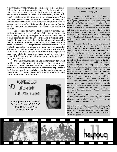many things wrong with having this march. First, ever since before I was born, the AYF has always organized a demonstration in front of the Turkish consulate on April 24th. This event is a known fact by now. Therefore, what is the point of having a separate march on the same day? Isn't the point of demonstrating to get our voices heard? How is that supposed to happen when one half of the voices are on Wilshire Blvd., while the other half are in Little Armenia? What's the point in causing such a separation between Armenians? If politics is the answer, then please do realize that politics are not a part of the April 24th demonstration. That day, we are all Armenians who should stand united and not separated (due to different political beliefs) against the enemy.

Yes, I do realize the march will take place during the morning hours while the demonstration will take place in the afternoon. Still, think about the venue…Little Armenia. Don't get me wrong, I am very proud of that corner and I would love to see it grow in size and in success in the future. However, what is the point of marching there? Do the organizers not realize that all the shops will be closed because of the date and that everyone the attendees will be marching for will already know the significance of their cause. The whole point of a march or demonstration on April 24th is to teach the world of the atrocities Armenians faced during the first genocide of the 20th century. This goal can come to fruition only by teaching the unknowing public, i.e. the "odars." This would never work in "Little Armenia" since the people there already know the facts. It is the outside world we want to teach and they are in areas outside of Little Armenia. As a result, I believe the morning march is opposite of what OUR goal is as Armenians.

These are my thoughts and beliefs. Like I mentioned before, I am not writing this in order to offend anyone. If I have done so, then I did not mean to. However, I do not apologize, because I am writing my opinions in order for my peers and others to hear them and to realize where we, as Armenians living in America in the 21st century, currently stand, and why we should do something to change our current situation. On a final note, I would like to remind all the readers of a quote, "United we shall stand. Divided we shall fall."



#### The Shocking Pictures

(Continued from page 6.)

According to Mrs Hofmann, Wegner although under strict Turkish instructions to take no pictures - photographed the dead Armenians during and after visits to Turkish concentration camps in the Syrian desert near Aleppo. "We cannot be sure the picture of the three bodies is of a mother and her two children only that it is a girl and two children. But the pictures are perfectly genuine. In his diary, Armin records seeing all these bodies of starved Armenians around the camps and of taking their photograph. He wrote that many of the bodies had become 'petrified', stiff and unchanging after death."

Ironically, the first copy of the photograph of the three dead Armenians traced by The Independent comes from an American journal also called The Independent and was published on 18 October, 1915. The caption to the picture printed then states that "these victims of Turkish cruelty were driven out to suffer extremes of hunger and hardship in their wanderings through the desert where so many thousands like them also died. Shown here is a mother and her two children found in the desert." The accompanying article begins: "The most extensive, the most atrocious of religious massacres which the world has seen for centuries is now being perpetrated in Turkey..." In fact, it was not until the end of the First World War that the full extent of the Armenian Holocaust - up to a million and a half murdered by the Ottoman Turkish regime - became clear.

Mrs. Hofmann says she is ready to give permission for newspapers to use the Wegner photographs of the genocide. (Her e-mail address is tessahofmann@d-armenier.de and her centre is principally involved in the identification of Wegner's Armenian photographs).

It wasn't his intention, but Mr Korkmazhaktanir's letter to Hulton may have helped to disseminate this invaluable photographic evidence of the Armenian Holocaust even further.

*This article was published in the British publication, The Independent, on March 12, 2001. Mr. Fisk is a frequent journalist of Armenian issues pertaining to the Turkish prosecution of the 1915 Armenian Genocide. Visit the site at www.independent.co.uk*

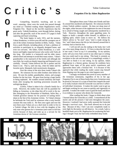#### *Forgotten Fire by Adam Bagdasarian* Taline Gulesserian

Compelling, beautiful, touching, and in one word…amazing…these were the words that passed through my mind as I finished reading Adam Bagdasarian's novel, Forgotten Fire. Based on the true-life experiences that his great uncle, Vahridj Kenderian, went through before, during, and after the genocide, each of the novel's 271 pages is both capturing and heart-wrenching.

o

r

n

e

r

The book begins in early 1915, and the narrator, Vahan Kenderian, is twelve-year-old and the youngest son of one of the richest Armenian families in Bitlis, Turkey. Vahan lives a posh lifestyle, including plenty of food, a plethora of activities to participate in, an elegantly designed home, and even two servants. His father, Sarkis Kenderian, is a wellknown and highly respected lawyer who works with Turks all day long. His mother is a housewife and his older sisters attend school and attempt to avoid their many suitors. Vahan's grandmother is the matriarch of the family and although she says little, her words are deeply impacting and listened to very carefully. Overall, Vahan believes his life is perfect and his future is set. That is, until one day, when his father and his favorite uncle, Mumpreh, both mysteriously disappear.

Over the course of the next three weeks Vahan's life shatters. He witnesses his two older brothers shot before his eyes. He sees his mother, grandmother, sisters, and younger brother for the last time. He goes from having a huge family to being orphaned. He wanders around aimlessly and hopelessly after escaping the marching procession towards the unforgiving desert.

Luckily, Vahan is taken in by a friend's family for a week. However, the mother fears she will by punished for hiding an Armenian, so she ships him off to work in the stables belonging to the Horseshoer of Bashkale, Selim Bey, a Turkish governor famous for his practice of nailing horseshoes to the feet of his Armenian victims. To Vahan's dismay he befriends the Turk until he witnesses what a truly horrific creature this man really is. He flees once again and over the next three years Vahan acts as a deaf mute in order to live in a Turkish village. He falls in love with the daughter of the only man who guesses he is Armenian (and wants to kill him strictly because of that), and ends up as a servant for the Armenian doctor of the German consulate.

Throughout these years Vahan sees friends and family around him murdered and deported. He witnesses horrific crimes Turkish soldiers commit. He does not sleep most of the nights, either because of the nightmares he sees or because he is afraid of being caught and subsequently murdered by a Turk. However, throughout the same appalling years, he begins to build a strength within himself, in addition to a fighting spirit, which wants to move on. He follows his father's advice to "be steel" since "steel is made strong by fire," and Vahan knows the life (or lack thereof) around him is certainly fuel to feed his fire.

I will not tell you the ending to the book, but I will say a few more things about it. If I have to describe the book in one word, I have to say it is astounding. In my opinion, rarely will you every find a novel or any other type or writing that you could read in one sitting. This book is certainly an exception to the rule and because it is compellingly written, I was able to finish it in one sitting. In my opinion, Adam Bagdasarian is a literary genius, because he combines facts gathered from tapes of his great uncle's experiences and approaches them with a fictional feel. It is because of this approach that while reading the reader cannot stop himself from flipping over the page to see what happens next.

I strongly recommend this novel to every member of the Armenian community, regardless of his or her age. Forgotten Fire is one of those books that every Armenian must be proud of, because it is a type of book that compels the reader to really evaluate what the Genocide was and how it affected individual Armenians. It makes the reader want to get up and begin working for our cause as quickly and vigorously as possible. It makes the reader want to grab the book and throw it as evidence to anyone who denies the Genocide.

After reading this book, I began to think about what I learned about the Genocide as a child. I remembered all the stories and all the pictures I had seen throughout the years. However, I realized I had never really assessed the Genocide through a survivor's eyes. This book allowed me to do just that. Because of this, I feel I am now completely ready to truly fight for the justice we still deserve. As a result, I give a heartfelt thank you to Mr. Bagdasarian for awakening the feelings I thought I had, but had really embedded deep inside.

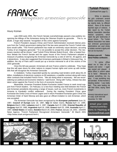## FRANCE

#### Houry Kizirian

Late 2000 early 2001, the French Senate overwhelmingly passed a law publicly recognizing the killings of the Armenians during the Ottoman Empire as genocide. This is, no doubt, a huge step towards "recognition of this crime against humanity."

French President Jacques Chirac and French Administration received intense pressure from the Turkish government stating that if the law were passed the French-Turkish relations would suffer. "The French parliament has made an extremely unjust decision, accusing Turkey of an imaginary genocide." "It is not possible to accept this unfair decision. The necessary reaction will be shown," said Turkish Prime Minister Bulent Ecevit. After a heated fourhour debate the French Senate and the upper house of the French Parliament adopted a measure of publicly recognizing the Armenian Genocide by a vote of 164 for, 40 against, and 4 abstentions. It was also suggested that Armenians participate in Britain's Holocaust Day. In addition, the city of Paris said it would put up a bronze memorial to all of the victims of the 1915 genocide.

Once the bill was passed, Armenians all over France united to celebrate. They hope that this will open doors for other nations to respect human rights and come up with similar bills that will recognize the Armenian Genocide.

In retaliation, Turkey responded quickly by canceling road tenders wroth about \$1.44 billion, installations of electronic systems on 80 warplanes, a satellite contract along with many other contracts that included French Firms. "We are doing what is necessary. We are reconsidering our political and economic relations," said Ecevit. Along with Turkey, Ankara has also taken action against the French in the form of economic boycotts.

Meanwhile, Armenian President Robert Kocharian visited France to seek moral support from French leaders. On February 12 a two-hour meeting was held between the French and Armenian presidents discussing a range of issues, such as, more French investments in Armenia to Karabakh conflict settlement. During the meeting President Chirac gave Kocharian the Greta Cross of Honor Legion and in return President Kocharian gave Chirac the Armenian Order of Saint Mesrop and also gave an official invitation to visit Armenian, which was accepted.

The Armenian Genocide has been recognized by the **European parliament**-June 18, 1987, **Council of Europe**-June 18, 1987, **Italy**-33 Italian towns, **Russia**-April 14, 1995, **Belgium**-March 1998, **Lebanon**-April 3, 1997, **Canada**-April 23 1996, **Oriental Republic of Uruguay**-April 20, 1965, **Argentina**-April 16, 1998, **Greece**-April 25, 1996, **Australia**-April 17, 1997, **United States**-10 states, **Sweden**-March 29, 2000, **France**-January 18, 2001. (SNARK News Agency. "French Parliament Recognized Armenians' Genocide." 30 March 2001 <http://www.snark.am/genocid.html>)

#### **Turkish Prisons**

(Continued from page 5.)

While in detention, the girls underwent several medical examinations, including virginity tests, by different doctors. None of the doctors reported signs of violence. A later report by the Turkish Medical Association describes medical symptoms, which match the girls' testimonies of sexual torture. The Turkish Medical Association has states that enforced gynecological examinations are used simply to violate a woman's dignity and that can be traumatic."

#### **Nineteen-year-old Fatma Deniz Polattas confession.**

"A police officer asked me to 'take off my trousers and socks.' I again was scared and obeyed. A police officer in uniform asked me to 'bend.' Afterwards he inserted something into my anus. It was something long and serrated. At that moment a bleeding started. I was totally bent. They were beating me with their sticks, saying 'stand straight.'

*Amnesty International report. A1 index: EUR 44/01/99 November 19, 1999*

email your comments/contributions to Haytoug at haytoug@mail.com

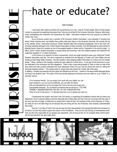## hate or educate?

#### Talin Pushian

I have been often asked by friends and acquaintances as to why I hate all Turkish people. Most of these people counter my argument by explaining that present day Turks are not at fault for the Armenian Genocide. However, after extensively contemplating this contention and researching the matter, I discovered evidence that only supports my hatred for modern day Turks.

As an Armenian student and a member of the Armenian Student Association I was interested in knowing how active Turkish students were, and whether they publicly state their stance on the Armenian Genocide. My curiosity led me to the website, where I discovered numerous Turkish websites filled with revisionist propaganda. One of the more anti-Armenian websites belonged to the Turkish Student Association at Duke University. This site dedicated an entire section to Mustafa Kemal, where he is praised as one of the greatest leaders in history and an "inspiration to the world at large." In effect, Duke's Turkish Student Association is paying tribute and honoring a man who helped engineer and implement the systematic slaughter of 1.5 million Armenians.

In the course of my research my level of amazement, shock and anger reached its apex upon visiting the Turkish Students Association web site. This site is organized by students from the Republic of Turkey and Turkic States who are studying at San Diego State University. This site contains a bold heading entitled "Information on Turkey and Turk related issues." When I clicked on this heading I entered the area called the Turkish forum. In one part of this area there is a section dedicated to the Armenians and their allegations. There is also a plea asking people to "Help us have our side of the story heard and help yourself understand the issue objectively where ever you may be around the world by visiting the Armenian Question section." This section leads to various links that present the Turkish side of the story.

In addition, I located one particular link that upset and offended me the most. I clicked on the area entitled Message Board and found one student's note. The author of this site directly addresses Armenians and even refers to us as "friends" in a sarcastic manner,

O my Armenian friends! You can poison your youth with your hatred, you can dupe academics, you can buy the politicians, you can alter the history with your fabricated lies, but do not expect the Turk to roll over and accept your unacceptable demands. Do not deceive yourselves that we will give in. YOU ARE TERRIBLY UNDERESTIMATING THE WILL OF THE TURKISH NATION! There is no ifs or buts about it. To demand land from us is to declare war upon us!

Consequently this student, who lives in the 21th century, is supporting his forefather's actions with his claims and statements. He is in essence telling us that the Genocide did not take place and that Turks are convinced with their side of the story and will not budge. Furthermore he asserts that if need be they, the members of the current Republic of Turkey, are ready for war if we take things too far because they are strong and we, the Armenians, have severely underestimated their power.

How can I not hate all Turks? Not only are they the direct descendants of the people that killed and murdered my ancestors, but also they openly support the actions of their forefathers. They are the ones holding our bloodstained lands. They are the ones responsible for an apology and reparations, and as long as they do not complete these minute tasks I will not only hate them but also loathe them.



 $\bigcup$ 

 $\frac{1}{\sqrt{2}}$ 



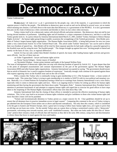## De.moc.ra.cy

#### Tania Gulesserian

**De.moc.ra.cy**  $\cdot$  di-`mak-re-se  $\mid$  n, pl: 1: government by the people; esp.: rule of the majority. 2: a government in which the supreme power is held by the people…The definition to democracy goes on and on and can be defined in several ways, yet no matter which meaning one chooses, it all boils down to the main idea that democracy is a government of the PEOPLE. It is not a government that puts on the cloak of democracy when convenient and disrobes to show its true colors when necessary.

Turkey claims itself to be a democratic nation with elected officials and prime ministers. But democracy does not end by just having elected members of parliament. Upholding rights and all freedoms is a major component of democracy, and this is a task that Turkey greatly lacks in. In a press release by Amnesty International dated March 21, 2001, entitled "Turkey Attempts to Silence Human Rights Activists" - the human rights group brings to public awareness the wrongdoings of the Turkish government. Akin Birdal, president of Turkey's largest human rights organization - The Human Rights Association (IHD) - is being held prisoner for now two years under a very controversial Article 312 of the Turkish Penal Code. This article under Turkish "democratic" law can be used to silence their own freedom of speech law. Akin Birdal will be tried for three separate speeches he had made calling for a peaceful approach to the Kurdish issue and for using the term "the Kurdish people." The charges brought up against him were "inciting people to hatred and enmity on the basis of class, race, or regional differences."

Article 312 has not only curbed Akin Birdal's freedom of speech, but many other leading human rights activists and government officials. Just few of these men are:

?? Esber Yagmurdereli - lawyer and human rights activist

?? Recep Tayyip Erdogen - former mayor of Istanbul

?? Necmettin Erbakan - former prime minister and leader of the banned Welfare Party

The issue of infringement of democratic rights does not stop with silencing freedom of speech by Article 312. It goes deeper than that to the point of attempted assassinations and constant imprisonment on the part of the government against The Human Rights Association (IHD) and other human rights organizations. Amnesty International was quoted as saying, "The government should ensure that no article of domestic law is used to suppress freedom of expression." Ironically enough, trials continue to be opened against those who express opposing views on the Kurdish issue and on the role of Islam.

With a country like Turkey who is continually trying to gain membership to E.U. (The European Union - a loose system of economic trade. This union that Turkey is trying to gain membership to is similar to NAFTA with its own political and monetary system. Basically, it is a United Nations for Europeans) turning a blind eye to warnings from Amnesty International is not a wise choice, especially when it comes to democratic rights and laws. There is an ongoing trend in Turkey for setting up offices for human rights monitoring and then having the government shut them down under "Emergency Rule." Amnesty International drew President Sezer's attention to persistent harassment of and attempts to suppress human rights and urged him to exercise his good offices to have steps taken to the reopening of The Human Rights Association's offices that were shut down May 12th.

Amnesty International feels that the closing of these offices is intended to prevent the effective monitoring of human rights violations. This, in fact, may lead to an increase in human rights violations and give confidence to those who violate human rights and know that their crimes will not be punished.

"Torture and incommunicado detention in Turkey persist as a major concern for AI. Clear guidelines should be set up to ensure that all detainees have in practice immediate access to legal counsel." Comparing this comment to the acts of Turkey trying to get admitted into the European Union strikes one as above and beyond contradictory. Not only does this country, which is considered to be the gate to Eastern and Western Europe, show a great lack in trying to follow basic human rights laws, yet it goes to prove that an old dog can not learn new tricks. On the outside Turkey puts on a great show as being a westernized country with a "democratic" government, welcoming arms towards tourism, and a well- established economy. But when one looks under this thin film of "democratic" pretext there remains a body of officials that still function as they did in the early 20th century, using force and discrimination to silence those that brave to stand against the laws and leaders.

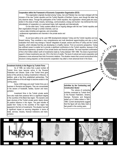#### **Cooperation within the Framework of Economic Cooperation Organisation (ECO)**

This organisation originally founded among Turkey, Iran and Pakistan has now been enlarged with the inclusion of the new Turkish republics and the Turkish Republic of Northern Cyprus, even though the latter has only observer status. Through the participation of the Turkish republics, this organisation- whose goals are cooperation in the areas of trade, industry, technology, communications, energy and tourism- has reinforced the institutionalisation of cooperation on a permanent basis, both regionally and internationally.

On the other hand, Turkey sustains efforts for an ongoing dialogue with the new Turkish republics and their organizations through a number channels, such as

· various state ministries and agencies, and universities,

· professional organisations and channels in the private sector and

· NGOs.

As we have outline so far, post-1990 developments between Turkey and the Turkish republics are truly forward looking. They constitute a very comprehensive and multi directional rapport-building and also a structuralization from which may emerge a "natural" integration of people, sectors and firms of Turkey and the Turkish republics, which indicates that they are developing in a healthy manner. From an economic perspective, Turkey has sufficient power to enable her to provide a significant contributions to the Turkish republics, because of her international experience, dynamism of her private sector and financial potential. The most important confirmation of this is the 6 billion dollars' worth of investments made by Turkey between 1991-1996. The share of government support in these investments was only 15% in the form of credits. The level of cultural and social cooperation and closeness is more advanced than that of economic relations. This situation means that a sound sociocultural infrastructure is being prepared, so that economic cooperation may attain a more advanced level in the future.

#### **Investment Activity in the Region by Turkish Firms**

As of 1996, we notice that a great number of Turkish firms have become active in the Russian Federation and Ukraine. Quite a few Turkish firms gave notice of this activity by making investments in Moscow. In addition, quite a few firms established partnerships. The positive influence of this will begin to become evident in the coming years.

Some 2,500 large and small Turkish firms are in business in Romania and Bulgaria. They are concentrated in the sectors of foodstuffs, textiles, tourism and transportation.

Investment firms in the Turkish private sector have also made their presence felt to a significant degree in the countries of the Black Sea region. The dynamic and open structure of the Turkish private sector clearly shows its positive influence in this region. The giant transfer of capital from Turkey to the countries of this region has appeared in the form of investments. This situation has had a significant impast on securing integration in terms of trade, services, industry, financial institutions and transportation.

**Activities by the Contracting and Construction Sector**

 $\Box$  ontinued 9.

This article ca www.foreignpolicy. hti

The article was  $\mathfrak p$ Man

 $\sqrt[3]{s_3}$ 

The volume of contracting activities conducted by Turkish firms in the Russian Federation, Ukraine, Georgia, Romania and Bulgaria added up to 5 billion dollars in 1991- 1996. Current developments suggest that this figure will very likely mark a fast growth in the coming years.

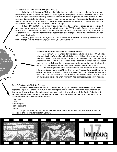#### **The Black Sea Economic Cooperation Region (BSECR)**

Initiated under the leadership of Turkey, the BSECR project was founded in Istanbul by the heads of state and governments from countries around the Black Sea. BSECR has targeted the development of economic cooperation of the 11 countries in this region. Priority lies with securing commercial, industrial and financial cooperation and the development of a transportation and communication infrastructure. For many years, the world was deprived of the opportunity of establishing close ties with the countries of this region because of the division between the eastern and western blocs. The change in conditions after 1990 led to the creation of the BSECR with Turkey in the vanguard.

Between 1992 and 1997, a series of meetings were held among the 1) economic organizations and 2) government agencies and parliaments in order to cultivate close regional ties among the BSECR countries. By means of the channel provided by the BSECR established in Istanbul, these efforts were coordinated both institutionally and sectorally. In time, with the development of BSECR, the elimination of the factors impeding cooperation among the countries of the region will result in their natural economic integration.

The geographical situation of this region is favourable for it to function as a facilitator in achieving closer ties and unification among the regions of Eastern Europe, the Balkans, the Caucasus and Asia.



tistics on trade with the Russian Federation indicate a total of 4 billion dollars (as an average of the three years between 1994-1997); however, this figure fails to reflect the reality. The trade volume generated by what is known as the "suitcase trade" conducted by tourists from the Russian Federation who visit Turkey regularly to purchase merchandise amounts to around 10 billion dollars annually. This trade is heavily concentrated in the purchase of textiles and clothing items.

The invisibles generated by the suitcase trade from such countries as Ukraine, Romania, Bulgaria and Georgia come to about 4 billion dollars per year. Consequently, as an addendum to the official figures, the annual volume of trading activity between Turkey and the Russian Federation and Ukraine and the countries around the Black Sea totals about 15 billion dollars. This is not a small sum and serves to indicate the current volume of "natural trading activity need" felt by the region.

#### **Turkey's Relations with Black Sea Countries**

Of those countries situated in the environs of the Black Sea, Turkey has traditionally nurtured relations with its Balkan neighbours Bulgaria and Romania. On account of the closed regimes of these countries during the Soviet era, economic relations did not develop sufficiently. By contrast, great importance was first given to relations with the Russian Federation and Ukraine to the North of the Black Sea as from 1990, after the break down of the Soviet Union. The most important sectors of the sizeable economic activity with these two countries are:

· natural gas

cmic Rel

· trade

from pag

n be found on org.tr/ing/files/erol.

 $\begin{bmatrix} 2 \end{bmatrix}$ 

orepared by Ero

D aut W N

9.

 $m<sup>1</sup>$ 

isali.

- contracting work
- · transportation and
- · tourism.

In the period between 1993 and 1996, the number of tourists from the Russian Federation who visited Turkey for trading purposes ranked second after those from Germany.

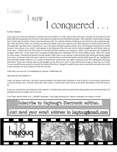### came l saw I conquered.

#### Levon Tourian

I met a guy once who was married to a woman and was the father of 11 kids. I got to know him more. One day out of the blue he suddenly died and immediately his wife and 11 kids asked me to play the role of husband and father. They said that I would bring in change, that I would make the family a better, more harmonious unity. So, with the mindset of helping out the family they all accepted me happily. What they did not know was I did not care about the family at all; I just wanted to have their big house to myself and myself only. One night after I got back from a whorehouse, I was a bit drunk and high on opium and the vision of having the whole house to myself became a clear picture in my mind. I went upstairs to the bedroom of the wife and with my hands strangled her until blood came out of her nose. I walked down the hall where 4 of the kids and their children were sleeping. I lifted a silver hammer and exploded the youngest child's face. At the noise of the cracking and shattering of his cheekbones the rest of the children awoke. They were crying for some reason. I launched the hammer towards another child's chest, to my surprise; it punctured the skin and became deeply lodged in his heart. As the rest of the kids tried to attack me I reached down to remove the hammer and the child's heart fell out. I grabbed the heart and made another child eat it. In a matter of moments the whole house was rudely awakened. It was like nothing they had imagined before. Those who I did not chop up and slaughter ran for their lives. And I, in turn, did my best to take as many lives as I could. To save myself the time needed to clean all the blood off the floor, I thought it would be easier just to send them out and let their acids in their stomachs eat away whatever of life they had left.

I did what I set out to do. I accomplished my mission. I killed them all.

#### THE HOUSE WAS MINE!!!!!

Today, the house is still mine. I do what I want and nobody cares about what I had done or what I still do. It was actually a good move on my part because now, with the friends that I have made, I control most of the houses on the block and nobody can tell me what to do.

Every now and then the surviving kids of the original 11 and their kids, and newer generations bring up the issue and demand that I be punished, but the true judges are on my side.

I am Talaat and the family was 1, 500,000 Armenians. I just laugh thinking how long the Armenians can remain a victim?

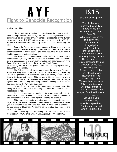## A Y F Fight to Genocide Recognition

#### Vicken Sosikian

Since 1933, the Armenian Youth Federation has been a leading force among Armenian- American youth. One of its main goals has been to achieve justice for heinous crime of genocide perpetrated by the Turkish government toward 1,500,000 Armenians between 1914-1923. The Armenian Youth Federation, until today continues to strive and struggle for justice.

Today, the Turkish government spends millions of dollars every year in efforts to revise the history of the Armenian Genocide, the international recognition of which, besides providing closure to the survivors will lead to reparations and restitutions.

The Armenian Youth Federation, unlike the Turkish government is not motivated by money. The force behind the Armenian Youth Federation's drive is for justice and to prevent such atrocities from occurring again in the future. For over four decades the Armenian Youth Federation has been protesting against the Turkish government's insidious campaign of denying the Armenian Genocide.

The Failure to punish the perpetrators of the Armenian Genocide shows the faulty standard we live in today. With the passing of each day without the punishment of those who stage such crimes, society will continue to decline as a civilization. This has been evident in the last few years. A few years ago Turkish soldiers were staging genocidal campaigns against Kurds. In fact, they were using the same techniques of massacre they used during the Armenian Genocide.

By not fighting to assure the punishment of governments like turkey for such crimes against humanity, the world emboldens others to repeat their crimes.

As a crime does not get punished its perpetrators feel that's it's their right to commit such crimes in the future. It's our duty as members of this society to ensure that crimes against humanity never occur.

This year, once again, a protest against inhumanity has been organized at the Turkish Consulate. The Armenian Youth Federation invites you to make your voice heard this April 24th. Be certain that every protestor can make a difference. Protest the denial, protest the injustice, and protest the inhumanity!

The Protest Against Inhumanity will be held at the Turkish Consulate at 4801 Wilshire Blvd. In Los Angeles, beginning at 3PM.

### 1915

8/99 Sahak Dulguerian

The child awoken Frightened by soldiers. Fears for his life No words are spoken. Panic fills What once was home. Torn apart now Left are bones. Pillaged pride Nowhere to hide. Plot of genocide None to remain alive. Marching through deserts The seasons pass. Gold exchanged for food By a turk on his ass. Mother pawns To keep her child alive. Dies along the way Now food for flies. Where is god now? To stop these menaces. Believe and be saved All empty promises. What once were citizens Martyrs of a ruined homeland Denied justice, Left unforgiven. Money talks, Armenians speechless. The truth unexposed, Who's to believe us?

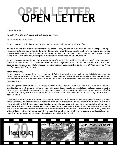# **OPEN LETTER OPEN LETTER**

30 November 2000

Turkey/EU: Open letter to EU Heads of State and Heads of Government

Dear Presidents, dear Prime Ministers,

Amnesty International is writing to you in order to raise our concerns related to the human rights situation in Turkey.

Amnesty International takes no position on whether or not any candidate country, including Turkey, should join the European Union (EU). The organization welcomes the EU's decision to monitor the human rights situation in the candidate countries and to report regularly on progress made. Amnesty International fully agrees with the conclusion in the 2000 Regular Report from the Commission on Turkey's Progress towards Accession (Turkey 2000"), issued on 8 November 2000, that compared to last year, the situation on the ground has hardly improved.

Amnesty International understands that during the accession process Turkey, like other candidate states, will benefit from EU encouragement and support for its reforms. In order to further contribute to an improvement of Turkey's human rights situation we take the opportunity to draw your attention to our recommendations, especially those which are not yet included in the EU recommendations in the Turkey 2000" report or in Turkey's Five Year Plan (known as the Demirok report).

#### **Torture and impunity**

Amnesty International is concerned that torture is still widespread in Turkey. Reports received by Amnesty International indicate that torture is not only inflicted on people suspected of politically motivated offences, but also on detainees who were arrested on suspicion of having committed criminal acts. The latter cases, are however, more difficult to document, because due to intimidation and fear of reprisals these people rarely contact human rights organizations.

Measures to prevent torture should be taken immediately rather than in 2002 or 2003 as the Demirok report anticipates. Incommunicado detention should be abolished completely and immediately, and clear guidelines should be introduced to ensure that all detainees have immediate access to a lawyer. Amnesty International is aware that under current law a certain group of political suspects are denied the right to see a lawyer in the first four days after arrest. The organization receives regular reports that even when detainees are entitled under the law to see a lawyer this often does not happen in practice.

In the Demirok report the protection of women and children is mentioned, but not explicitly in relation to torture. Amnesty International has documented several cases of rape and other sexual abuse of women in custody; some of these offences have taken place over the last year. The definition of rape as interpreted by Turkish courts is very narrow (forced penetration of the vagina by a penis) and other forms of physical sexual abuse are not even defined as a crime. Amnesty International urges the Turkish authorities to amend the law so that all acts of sexual violence and abuse are defined as crimes with appropriate sanctions commensurate with the seriousness of these offences. All officials involved in the custody, interrogation and medical care of detainees and prisoners, as well as all prosecutors and judges should be informed that rape and sexual abuse by law enforcement officials are criminal acts which constitute torture or ill-treatment and will not be tolerated.

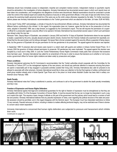Detainees should have immediate access to independent, impartial and competent medical doctors. Independent medical or psychiatric reports should be admissible in the investigation of torture allegations. Amnesty International has documented several cases in which such reports have not been taken into consideration, and investigations into allegations of torture were discontinued. Medical examinations should be conducted in private under the control of the medical expert and outside the presence of security or other government officials. In the case of rape and other forms of sexual abuse the examining health personnel should be of the same sex as the victim unless otherwise requested by the latter. For further recommendations please see Amnesty International's recommendations to the Turkish government which are attached to this letter. (AI Index: EUR 44/19/00)

As the report Turkey 2000" acknowledges, a climate of impunity for law-enforcement officials continues. Amnesty International has documented the different factors contributing to this climate.1 In this regard, the organization does not, however, agree that the law on the prosecution of civil servants, adopted in December 1999, was a step forward, as suggested by the Commission's report. This law still requires the permission of a superior official for a prosecution against a security officer to be opened.2 Amnesty International has documented several cases in which such permission was refused under the new law:

Ramazan Tekin, Deputy Mayor of Diyarbakir, was arrested in January 2000 and held for 10 days at Diyarbakir Gendarmerie where he was reportedly beaten, suspended by the arms, sexually abused and given electric shocks. Doctors from the Forensic Institute who examined him reportedly confirmed that his ribs were broken and his kidneys damaged. His lawyer filed a formal complaint against the security officers suspected of being responsible, but the governor of Diyarbakir did not give permission for the two gendarmes to be prosecuted. The appeal against this decision was rejected.

In September 1999 10 prisoners died and dozens were injured in a violent clash with guards and soldiers in Ankara Central Closed Prison. On 3 January 2000 the governor of Ankara refused permission to prosecute 150 gendarmes who were implicated. The appeal against this decision was accepted by a local court in May 2000. In June the Turkish Parliamentary Human Rights Commission made public their conclusion that excessive force had been used. Amnesty International has called for an amendment of the law in order to ensure that decisions as to whether or not to prosecute a government officer for human rights violations are taken solely by prosecutors and judges.

#### **Prison conditions**

Amnesty International welcomes the EU Commission's recommendation that the Turkish authorities should cooperate with the Committee for the Prevention of Torture (CPT) on the management regimes of the new prisons, and should pay particular attention to measures ensuring that prisoners spend a reasonable part of day engaged in purposeful activities outside their living units. Amnesty International also calls for prisoners to be allowed to associate with other prisoners. Amnesty International would like to draw your attention to the fact that regimes of solitary confinement and small group isolation already exist in Kartal Special Type Prison and in the prison on Imrali where Abdullah Ocalan has been held in solitary confinement since February 1999.

#### **Death Penalty**

Amnesty International notes that Turkey is abolitionist in practice, and continues to call on the government to abolish the death penalty immediately and fully in law.

#### **Freedom of Expression and Human Rights Defenders**

Amnesty International agrees that legal and constitutional guarantees for the right to freedom of expression must be strengthened so that they are compatible with Article 10 of the European Convention of Human Rights. It must be ensured that the law can no longer be interpreted in such a way as to restrict this right. This requires a basic change of attitude on the part of the government and the judiciary which would lead to a revision of both law and practice. Amnesty International believes that any peaceful expression of views, even regarding the political structure of the state and possible secession should be permitted, and in this regard disagrees with the Demirok report. The European Court has interpreted restrictions to Article 10 very narrowly. Peaceful advocacy of reform, including in relation to matters affecting territorial integrity, may not be restricted even if there is domestic concern about violent separatism.

Amnesty International is concerned that human rights defenders are subjected to pressure and harassment which inhibits their work.

*Continued on page 22.*

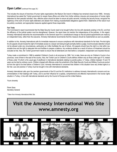#### **Open Letter***(continued from page 20.)*

This includes the closure of branches of human rights organizations (the Mazlum Der branch in Malatya has remained closed since 1999). Amnesty International has asked the Turkish government to reopen these offices and refrain from further arbitrary closures and prosecutions of human rights defenders for their peaceful activities. Also, effective action should be taken to ensure all public servants, including the security forces, recognize the legitimacy of the work of human rights defenders and abstain from making unsubstantiated allegations against them. Statements of this nature must be publicly countered, and appropriate measures applied against those responsible.

#### **Fair Trials**

The Commission's report recommends that the State Security Courts need to be brought further into line with standards existing in the EU, and that the efficiency of the judicial system must be strengthened. However, the report does not mention the independence of the judiciary. In this regard, Amnesty International welcomes the recommendation in the Demirok report for a constitutional change so that all judicial appointments are made by an independent body, rather than the executive. Amnesty International recommends that this measure should be implemented as soon as possible.

In addition to this, Amnesty International calls for immediate measures to ensure compliance with international standards for fair trials. Pre-trial rights for all suspects should include the right of immediate access to a lawyer and being brought promptly before a judge; incommunicado detention should not be allowed under any circumstances, particularly as it often facilitates the use of torture. All suspects should have the right to a trial within reasonable time and the right to adequate time and facilities to prepare a defence. Any evidence elicited as a result of torture or ill-treatment should be excluded at trial. Also, the Turkish government needs to ensure that all defendants are tried before a competent, independent and impartial tribunal.

Turkey made a commitment in 1988 to establish Children's Courts in all provinces by 1998. Yet, to date, there are only six Children's Courts in four provinces, none of them in the east of the country. Also, the Turkish Law on Children's Courts defines children only as those under age of 15, instead of those under 18 which is the usual age of adulthood in international standards relating to juvenile justice. In Turkey, children between 15 and 18 years can be tried by ordinary courts. Children charged with offences under the jurisdiction of the State Security Courts and Military Courts are excluded from the right to be tried before a Children's Court. Amnesty International is concerned that children in this situation have very limited rights to a fair trial. Law and practice in Turkey must be brought in line with international standards.

Amnesty International calls upon the member governments of the EU and the EU institutions to address Amnesty International's concerns and recommendations in their dealings with Turkey, and to use their influence for a speedy, comprehensive and effective improvement in the human rights situation in Turkey, in line with international standards set by the Council of Europe and the United Nations.

Yours sincerely

Pierre Sane Secretary General

*\*Taken from Amnesty International Web Site.*

### **Visit the Amnesty International Web Site www.amnesty.org**

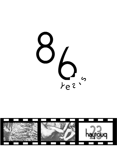